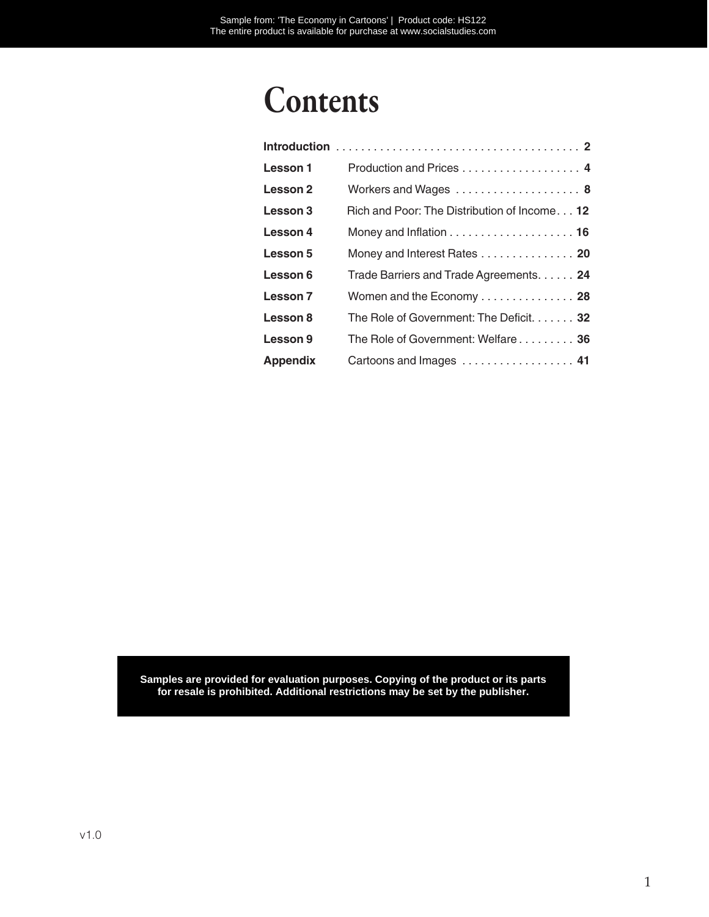## Contents

| Lesson 1        | Production and Prices 4                                            |
|-----------------|--------------------------------------------------------------------|
| Lesson 2        | Workers and Wages  8                                               |
| Lesson 3        | Rich and Poor: The Distribution of Income 12                       |
| Lesson 4        | Money and Inflation $\ldots \ldots \ldots \ldots \ldots \ldots$ 16 |
| Lesson 5        | Money and Interest Rates 20                                        |
| Lesson 6        | Trade Barriers and Trade Agreements. 24                            |
| Lesson 7        | Women and the Economy $\ldots \ldots \ldots \ldots$ 28             |
| Lesson 8        | The Role of Government: The Deficit. 32                            |
| Lesson 9        | The Role of Government: Welfare 36                                 |
| <b>Appendix</b> | Cartoons and Images  41                                            |

Samples are provided for evaluation purposes. Copying of the product or its parts for resale is prohibited. Additional restrictions may be set by the publisher.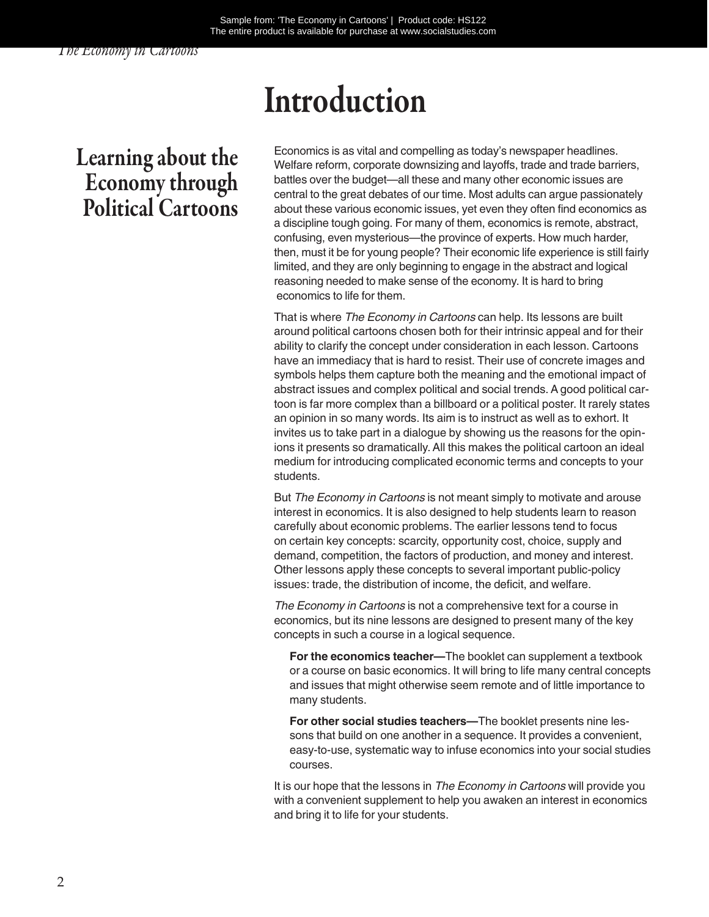*The Economy in Cartoons*

## Introduction

## Learning about the Economy through Political Cartoons

Economics is as vital and compelling as today's newspaper headlines. Welfare reform, corporate downsizing and layoffs, trade and trade barriers, battles over the budget—all these and many other economic issues are central to the great debates of our time. Most adults can argue passionately about these various economic issues, yet even they often find economics as a discipline tough going. For many of them, economics is remote, abstract, confusing, even mysterious—the province of experts. How much harder, then, must it be for young people? Their economic life experience is still fairly limited, and they are only beginning to engage in the abstract and logical reasoning needed to make sense of the economy. It is hard to bring economics to life for them.

That is where *The Economy in Cartoons* can help. Its lessons are built around political cartoons chosen both for their intrinsic appeal and for their ability to clarify the concept under consideration in each lesson. Cartoons have an immediacy that is hard to resist. Their use of concrete images and symbols helps them capture both the meaning and the emotional impact of abstract issues and complex political and social trends. A good political cartoon is far more complex than a billboard or a political poster. It rarely states an opinion in so many words. Its aim is to instruct as well as to exhort. It invites us to take part in a dialogue by showing us the reasons for the opinions it presents so dramatically. All this makes the political cartoon an ideal medium for introducing complicated economic terms and concepts to your students.

But *The Economy in Cartoons* is not meant simply to motivate and arouse interest in economics. It is also designed to help students learn to reason carefully about economic problems. The earlier lessons tend to focus on certain key concepts: scarcity, opportunity cost, choice, supply and demand, competition, the factors of production, and money and interest. Other lessons apply these concepts to several important public-policy issues: trade, the distribution of income, the deficit, and welfare.

*The Economy in Cartoons* is not a comprehensive text for a course in economics, but its nine lessons are designed to present many of the key concepts in such a course in a logical sequence.

**For the economics teacher—**The booklet can supplement a textbook or a course on basic economics. It will bring to life many central concepts and issues that might otherwise seem remote and of little importance to many students.

**For other social studies teachers—**The booklet presents nine lessons that build on one another in a sequence. It provides a convenient, easy-to-use, systematic way to infuse economics into your social studies courses.

It is our hope that the lessons in *The Economy in Cartoons* will provide you with a convenient supplement to help you awaken an interest in economics and bring it to life for your students.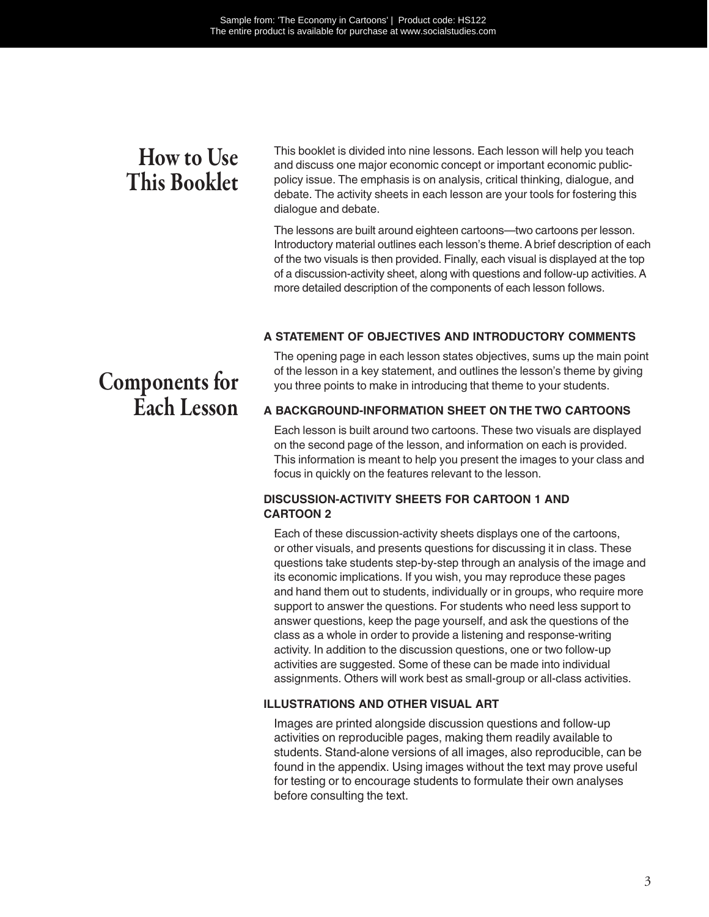## How to Use This Booklet

This booklet is divided into nine lessons. Each lesson will help you teach and discuss one major economic concept or important economic publicpolicy issue. The emphasis is on analysis, critical thinking, dialogue, and debate. The activity sheets in each lesson are your tools for fostering this dialogue and debate.

The lessons are built around eighteen cartoons—two cartoons per lesson. Introductory material outlines each lesson's theme. A brief description of each of the two visuals is then provided. Finally, each visual is displayed at the top of a discussion-activity sheet, along with questions and follow-up activities. A more detailed description of the components of each lesson follows.

#### **A STATEMENT OF OBJECTIVES AND INTRODUCTORY COMMENTS**

The opening page in each lesson states objectives, sums up the main point of the lesson in a key statement, and outlines the lesson's theme by giving you three points to make in introducing that theme to your students.

#### **A BACKGROUND-INFORMATION SHEET ON THE TWO CARTOONS**

Each lesson is built around two cartoons. These two visuals are displayed on the second page of the lesson, and information on each is provided. This information is meant to help you present the images to your class and focus in quickly on the features relevant to the lesson.

#### **DISCUSSION-ACTIVITY SHEETS FOR CARTOON 1 AND CARTOON 2**

Each of these discussion-activity sheets displays one of the cartoons, or other visuals, and presents questions for discussing it in class. These questions take students step-by-step through an analysis of the image and its economic implications. If you wish, you may reproduce these pages and hand them out to students, individually or in groups, who require more support to answer the questions. For students who need less support to answer questions, keep the page yourself, and ask the questions of the class as a whole in order to provide a listening and response-writing activity. In addition to the discussion questions, one or two follow-up activities are suggested. Some of these can be made into individual assignments. Others will work best as small-group or all-class activities.

#### **ILLUSTRATIONS AND OTHER VISUAL ART**

Images are printed alongside discussion questions and follow-up activities on reproducible pages, making them readily available to students. Stand-alone versions of all images, also reproducible, can be found in the appendix. Using images without the text may prove useful for testing or to encourage students to formulate their own analyses before consulting the text.

## Components for Each Lesson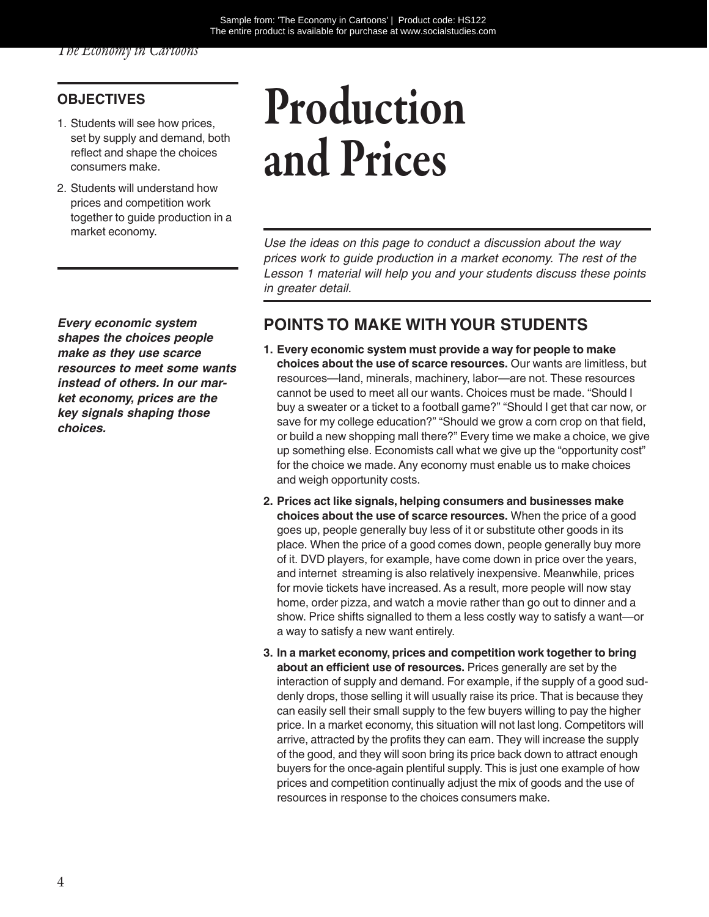#### **OBJECTIVES**

- 1. Students will see how prices, set by supply and demand, both reflect and shape the choices consumers make.
- 2. Students will understand how prices and competition work together to guide production in a market economy.

*Every economic system shapes the choices people make as they use scarce resources to meet some wants instead of others. In our market economy, prices are the key signals shaping those choices.*

# Production and Prices

*Use the ideas on this page to conduct a discussion about the way prices work to guide production in a market economy. The rest of the Lesson 1 material will help you and your students discuss these points in greater detail.*

#### **POINTS TO MAKE WITH YOUR STUDENTS**

- **1. Every economic system must provide a way for people to make choices about the use of scarce resources.** Our wants are limitless, but resources—land, minerals, machinery, labor—are not. These resources cannot be used to meet all our wants. Choices must be made. "Should I buy a sweater or a ticket to a football game?" "Should I get that car now, or save for my college education?" "Should we grow a corn crop on that field, or build a new shopping mall there?" Every time we make a choice, we give up something else. Economists call what we give up the "opportunity cost" for the choice we made. Any economy must enable us to make choices and weigh opportunity costs.
- **2. Prices act like signals, helping consumers and businesses make choices about the use of scarce resources.** When the price of a good goes up, people generally buy less of it or substitute other goods in its place. When the price of a good comes down, people generally buy more of it. DVD players, for example, have come down in price over the years, and internet streaming is also relatively inexpensive. Meanwhile, prices for movie tickets have increased. As a result, more people will now stay home, order pizza, and watch a movie rather than go out to dinner and a show. Price shifts signalled to them a less costly way to satisfy a want—or a way to satisfy a new want entirely.
- **3. In a market economy, prices and competition work together to bring about an efficient use of resources.** Prices generally are set by the interaction of supply and demand. For example, if the supply of a good suddenly drops, those selling it will usually raise its price. That is because they can easily sell their small supply to the few buyers willing to pay the higher price. In a market economy, this situation will not last long. Competitors will arrive, attracted by the profits they can earn. They will increase the supply of the good, and they will soon bring its price back down to attract enough buyers for the once-again plentiful supply. This is just one example of how prices and competition continually adjust the mix of goods and the use of resources in response to the choices consumers make.